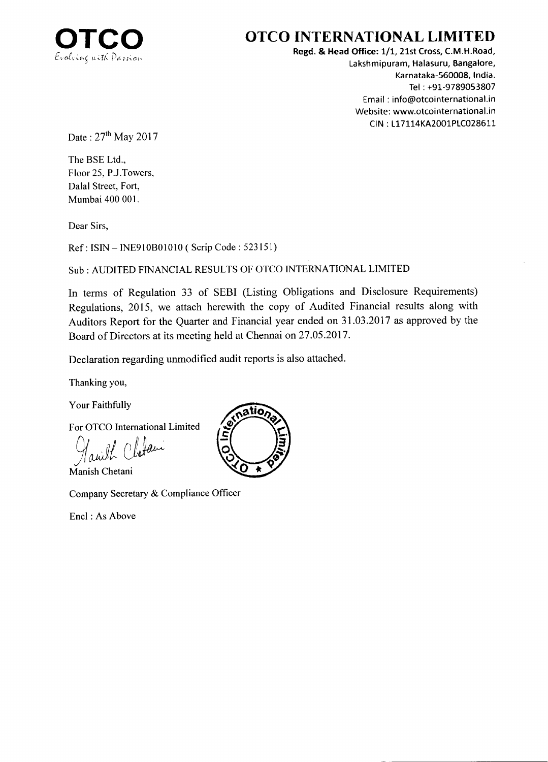

## OTCO INTERNATIONAL LIMITED

Regd. & Head Office: 1/1, 21st Cross, C.M.H.Road, Lakshmipuram, Halasuru, Bangalore, Karnataka-560008, lndia. Tel : +91-9789053807 Email : info@otcointernational.in Website: www.otcointernational.in CIN: L17114KA2001PLC028611

Date: 27<sup>th</sup> May 2017

The BSE Ltd., Floor 25, P.J.Towers, Dalal Street, Fort, Mumbai 400 001.

Dear Sirs,

Ref : ISIN - INE9I0B0l0l0 ( Scrip Code : 523151)

SUb: AUDITED FINANCIAL RESULTS OF OTCO INTERNATIONAL LIMITED

In terms of Regulation 33 of SEBI (Listing Obligations and Disclosure Requirements) Regulations, 2015, we attach herewith the copy of Audited Financial results along with Auditors Report for the Quarter and Financial year ended on 31 .03.2017 as approved by the Board of Directors at its meeting held at Chennai on 27.05.2017.

Declaration regarding unmodified audit reports is also attached.

Thanking you,

Your Faithfully

For OTCO International Limited

 $\bigcap$  law

Manish Chetani

Company Secretary & Compliance Officer

Encl : As Above

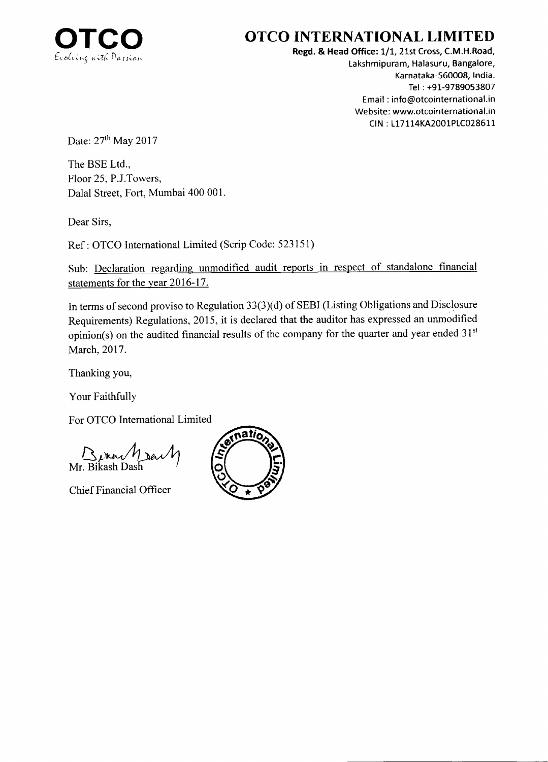

# OTCO INTERNATIONAL LIMITED

Regd. & Head Office: 1/1, 21st Cross, C.M.H.Road, Lakshmipuram, Halasuru, Bangalore, Karnataka-56OO08, lndia. Tel : +91-9789053807 Email : info@otcointernational.in Website: www.otcointernational.in CIN : 117114KA2001P1C028611

Date: 27<sup>th</sup> May 2017

The BSE Ltd., Floor 25, P.J.Towers, Dalal Street, Fort, Mumbai 400 001

Dear Sirs,

Ref : OTCO International Limited (Scrip Code: 523151)

Sub: Declaration regarding unmodified audit reports in respect of standalone financial statements for the year 2016-17.

In terms of second proviso to Regulation 33(3)(d) of SEBI (Listing Obligations and Disclosure Requirements) Regulations,20l5, it is declared that the auditor has expressed an unmodified opinion(s) on the audited financial results of the company for the quarter and year ended  $31<sup>st</sup>$ March, 2017.

Thanking you,

Your Faithfully

For OTCO International Limited

 $\overline{\mathbf{r}}$ Mr. Bikash D

Chief Financial Officer

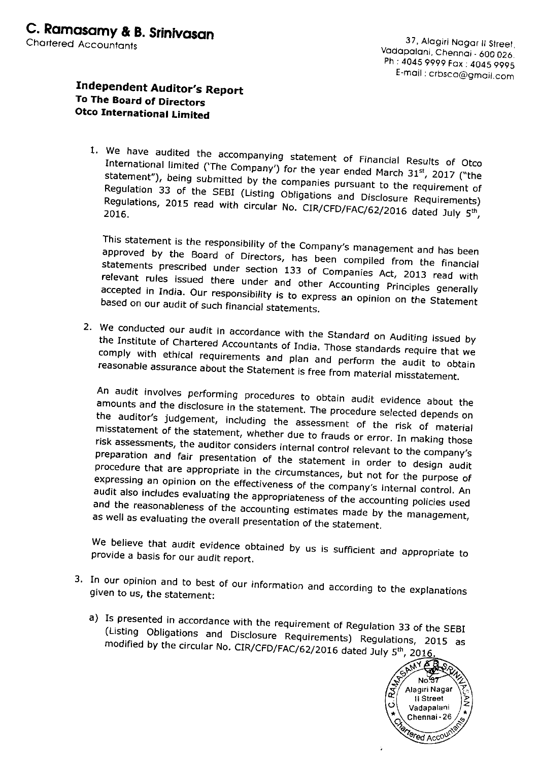### Independent Auditor's Report To The Board of Directors **Otco International Limited**

1. We have audited the accompanying statement of Financial Results of Otco International limited ('The Company') for the year ended March 31st, 2017 ("the statement"), being submitted by the companies pursuant to the requirement of Regulation 33 of the SEBI (Listing Obligations and Disclosure Requirements) Regulations, 2015 read with circular No. CIR/CFD/FAC/62/2016 dated July 5th,

This statement is the responsibility of the Company's management and has been approved by the Board of Directors, has been compiled from the financial statements prescribed under section 133 of Companies Act, 2013 read with relevant rules issued there under and other Accounting Principles generally accepted in India. Our responsibility is to express an opinion on the Statement based on our audit of such financial statements.

2. We conducted our audit in accordance with the Standard on Auditing issued by the Institute of Chartered Accountants of India. Those standards require that we comply with ethical requirements and plan and perform the audit to obtain reasonable assurance about the Statement is free from material misstatement.

An audit involves performing procedures to obtain audit evidence about the amounts and the disclosure in the statement. The procedure selected depends on the auditor's judgement, including the assessment of the risk of material misstatement of the statement, whether due to frauds or error. In making those risk assessments, the auditor considers internal control relevant to the company's preparation and fair presentation of the statement in order to design audit procedure that are appropriate in the circumstances, but not for the purpose of expressing an opinion on the effectiveness of the company's internal control. An audit also includes evaluating the appropriateness of the accounting policies used and the reasonableness of the accounting estimates made by the management, as well as evaluating the overall presentation of the statement.

We believe that audit evidence obtained by us is sufficient and appropriate to provide a basis for our audit report.

- 3. In our opinion and to best of our information and according to the explanations given to us, the statement:
	- a) Is presented in accordance with the requirement of Regulation 33 of the SEBI (Listing Obligations and Disclosure Requirements) Regulations, 2015 as modified by the circular No. CIR/CFD/FAC/62/2016 dated July 5<sup>th</sup>, 2016.

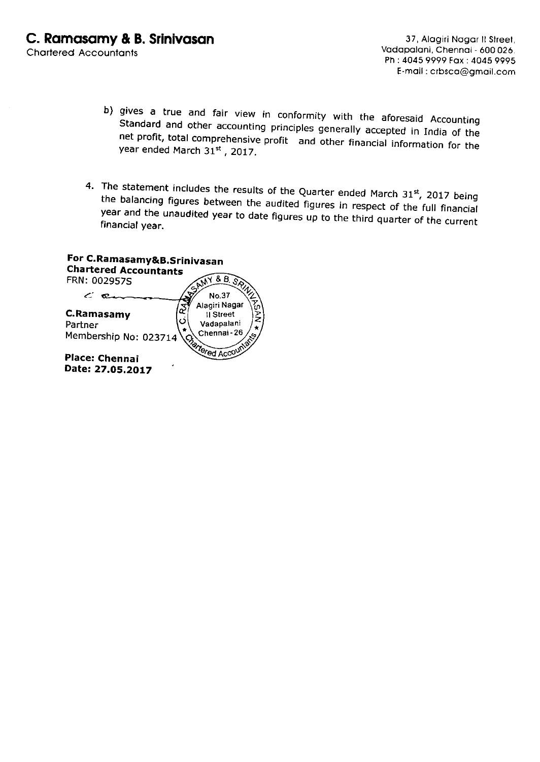- b) gives a true and fair view in conformity with the aforesaid Accounting Standard and other accounting principles generally accepted in India of the net profit, total comprehensive profit and other financial information
- 4. The statement includes the results of the Quarter ended March 31st, 2017 being the balancing figures between the audited figures in respect of the full financial<br>year and the unaudited year to date figures up to the third quarter of the current<br>financial year.

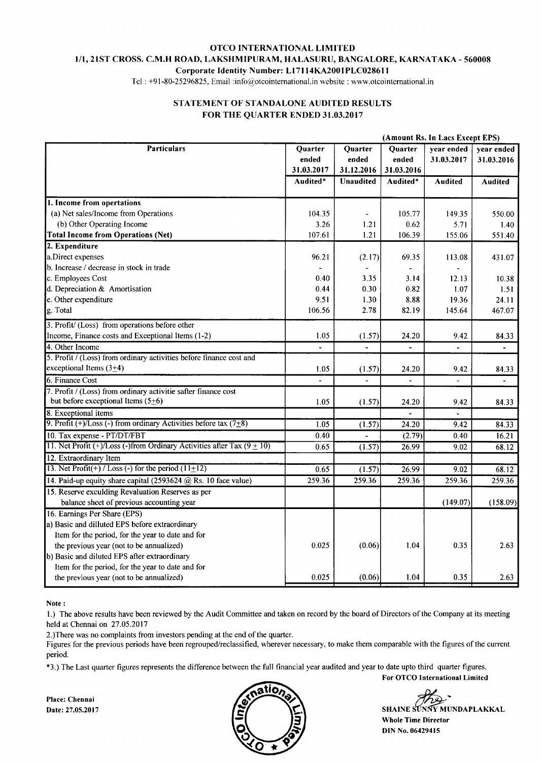#### OTCO INTERNATIONAL LIMITED I/I,2IST CROSS. C.M.H ROAD, LAKSHMIPURAM, HALASURU, BANGALORE, KARNATAKA - 560008 Corporate ldentity Number: Ll7ll4KA200lPLC0286l I

Tel: +91-80-25296825, Email:info@otcointernational.in website: www.otcointernational.in

#### STATEMENT OF STANDALONE AUDITED RESULTS FOR THE QUARTER ENDED 31.03.2017

|                                                                               |                  |                  | (Amount Rs. In Lacs Except EPS) |                          |                          |  |
|-------------------------------------------------------------------------------|------------------|------------------|---------------------------------|--------------------------|--------------------------|--|
| <b>Particulars</b>                                                            | Quarter<br>ended | Quarter<br>ended | Quarter<br>ended                | year ended<br>31.03.2017 | year ended<br>31.03.2016 |  |
|                                                                               | 31.03.2017       | 31.12.2016       | 31.03.2016                      |                          |                          |  |
|                                                                               | Audited*         | <b>Unaudited</b> | Audited*                        | <b>Audited</b>           | <b>Audited</b>           |  |
| 1. Income from opertations                                                    |                  |                  |                                 |                          |                          |  |
| (a) Net sales/Income from Operations                                          | 104.35           |                  | 105.77                          | 149.35                   | 550.00                   |  |
| (b) Other Operating Income                                                    | 3.26             | 1.21             | 0.62                            | 5.71                     | 1.40                     |  |
| <b>Total Income from Operations (Net)</b>                                     | 107.61           | 1.21             | 106.39                          | 155.06                   | 551.40                   |  |
| 2. Expenditure                                                                |                  |                  |                                 |                          |                          |  |
| a.Direct expenses                                                             | 96.21            | (2.17)           | 69.35                           | 113.08                   | 431.07                   |  |
| b. Increase / decrease in stock in trade                                      |                  |                  |                                 |                          |                          |  |
| c. Employees Cost                                                             | 0.40             | 3.35             | 3.14                            | 12.13                    | 10.38                    |  |
| d. Depreciation & Amortisation                                                | 0.44             | 0.30             | 0.82                            | 1.07                     | 1.51                     |  |
| e. Other expenditure                                                          | 9.51             | 1.30             | 8.88                            | 19.36                    | 24.11                    |  |
| g. Total                                                                      | 106.56           | 2.78             | 82.19                           | 145.64                   | 467.07                   |  |
| 3. Profit/ (Loss) from operations before other                                |                  |                  |                                 |                          |                          |  |
| Income, Finance costs and Exceptional Items (1-2)                             | 1.05             | (1.57)           | 24.20                           | 9.42                     | 84.33                    |  |
| 4. Other Income                                                               |                  | $\blacksquare$   |                                 | $\blacksquare$           | $\blacksquare$           |  |
| 5. Profit / (Loss) from ordinary activities before finance cost and           |                  |                  |                                 |                          |                          |  |
| exceptional Items $(3+4)$                                                     | 1.05             | (1.57)           | 24.20                           | 9.42                     | 84.33                    |  |
| 6. Finance Cost                                                               |                  |                  |                                 |                          |                          |  |
| 7. Profit / (Loss) from ordinary activitie safter finance cost                |                  |                  |                                 |                          |                          |  |
| but before exceptional Items $(5\pm6)$                                        | 1.05             | (1.57)           | 24.20                           | 9.42                     | 84.33                    |  |
| 8. Exceptional items                                                          |                  |                  |                                 | $\overline{\phantom{a}}$ |                          |  |
| 9. Profit (+)/Loss (-) from ordinary Activities before tax $(7\pm8)$          | 1.05             | (1.57)           | 24.20                           | 9.42                     | 84.33                    |  |
| 10. Tax expense - PT/DT/FBT                                                   | 0.40             |                  | (2.79)                          | 0.40                     | 16.21                    |  |
| 11. Net Profit $(+)/$ Loss (-)from Ordinary Activities after Tax (9 $\pm$ 10) | 0.65             | (1.57)           | 26.99                           | 9.02                     | 68.12                    |  |
| 12. Extraordinary Item                                                        |                  |                  |                                 |                          |                          |  |
| 13. Net $Profit(+) / Loss(-)$ for the period $(11+12)$                        | 0.65             | (1.57)           | 26.99                           | 9.02                     | 68.12                    |  |
| 14. Paid-up equity share capital (2593624 @ Rs. 10 face value)                | 259.36           | 259.36           | 259.36                          | 259.36                   | 259.36                   |  |
| 15. Reserve exculding Revaluation Reserves as per                             |                  |                  |                                 |                          |                          |  |
| balance sheet of previous accounting year                                     |                  |                  |                                 | (149.07)                 | (158.09)                 |  |
| 16. Earnings Per Share (EPS)                                                  |                  |                  |                                 |                          |                          |  |
| a) Basic and dilluted EPS before extraordinary                                |                  |                  |                                 |                          |                          |  |
| Item for the period, for the year to date and for                             |                  |                  |                                 |                          |                          |  |
| the previous year (not to be annualized)                                      | 0.025            | (0.06)           | 1.04                            | 0.35                     | 2.63                     |  |
| b) Basic and diluted EPS after extraordinary                                  |                  |                  |                                 |                          |                          |  |
| Item for the period, for the year to date and for                             |                  |                  |                                 |                          |                          |  |
| the previous year (not to be annualized)                                      | 0.025            | (0.06)           | 1.04                            | 0.35                     | 2.63                     |  |
|                                                                               |                  |                  |                                 |                          |                          |  |

Note :

l.) The above results have been reviewed by the Audit Committee and taken on record by the board of Directors of the Company at its meeting held at Chennai on 27.05.2017

2.)There was no complaints from investors pending at the end of the quarter.

Figures for the previous periods have been regrouped/reclassified, wherever necessary, to make them comparable with the figures of the current period.

\*3.) The Last quarter figures represents the difference between the full financial year audited and year to date upto third quarter figures.

Place: Chennai



Whole Time Director DIN No.06429415

For OTCO International Limited